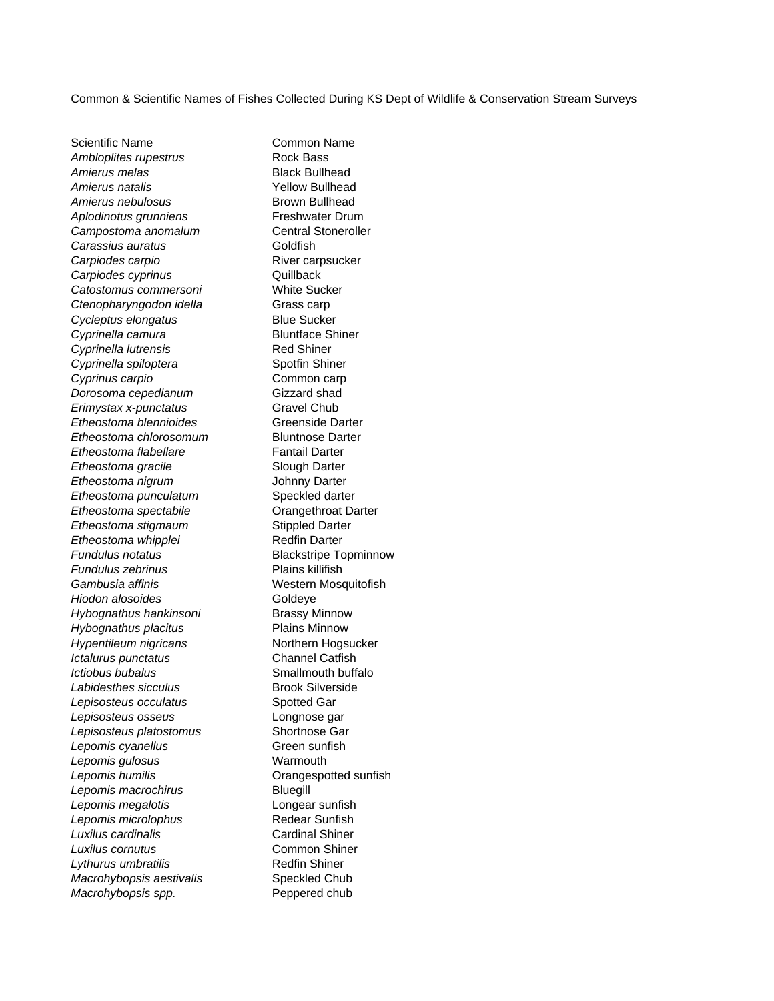Common & Scientific Names of Fishes Collected During KS Dept of Wildlife & Conservation Stream Surveys

Scientific Name **Common Name** Ambloplites rupestrus **Rock Bass** Amierus melas **Black Bullhead** *Amierus natalis* Yellow Bullhead Amierus nebulosus **Brown Bullhead** *Aplodinotus grunniens* Freshwater Drum *Campostoma anomalum* Central Stoneroller *Carassius auratus* Goldfish **Carpiodes carpio** Carp River carpsucker *Carpiodes cyprinus* Quillback *Catostomus commersoni* White Sucker **Ctenopharyngodon idella** Grass carp *Cycleptus elongatus* Blue Sucker **Cyprinella camura** Bluntface Shiner *Cyprinella lutrensis* Red Shiner **Cyprinella spiloptera** Spotfin Shiner **Cyprinus carpio** Common carp *Dorosoma cepedianum* Gizzard shad **Erimystax x-punctatus** Gravel Chub *Etheostoma blennioides* Greenside Darter *Etheostoma chlorosomum* Bluntnose Darter **Etheostoma flabellare** Fantail Darter **Etheostoma gracile** Slough Darter *Etheostoma nigrum* Johnny Darter *Etheostoma punculatum* Speckled darter **Etheostoma spectabile Crangethroat Darter Etheostoma stigmaum** Stippled Darter **Etheostoma whipplei** Redfin Darter *Fundulus notatus* Blackstripe Topminnow *Fundulus zebrinus* Plains killifish *Gambusia affinis* Western Mosquitofish **Hiodon alosoides** Goldeye *Hybognathus hankinsoni* Brassy Minnow *Hybognathus placitus* Plains Minnow *Hypentileum nigricans* Northern Hogsucker *Ictalurus punctatus* Channel Catfish *Ictiobus bubalus* Smallmouth buffalo **Labidesthes sicculus** Brook Silverside *Lepisosteus occulatus* Spotted Gar *Lepisosteus osseus* Longnose gar *Lepisosteus platostomus* Shortnose Gar **Lepomis cyanellus** Green sunfish *Lepomis gulosus* Warmouth *Lepomis humilis* Orangespotted sunfish *Lepomis macrochirus* Bluegill *Lepomis megalotis* Longear sunfish *Lepomis microlophus* Redear Sunfish *Luxilus cardinalis* Cardinal Shiner *Luxilus cornutus* Common Shiner **Lythurus umbratilis** Redfin Shiner **Macrohybopsis aestivalis** Speckled Chub *Macrohybopsis spp.* Peppered chub